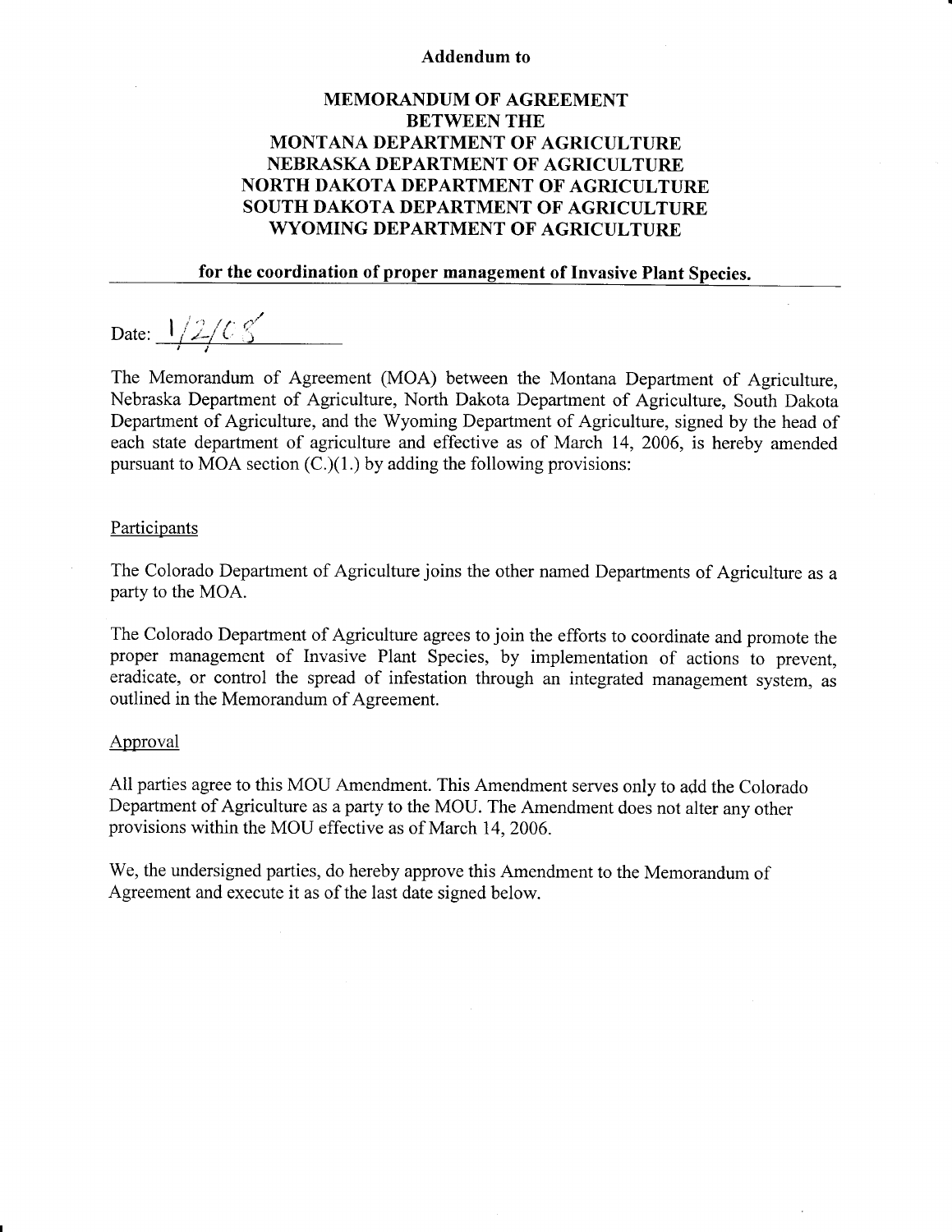### Addendum to

# MEMORANDUM OF AGREEMENT BETWEEN THE MONTANA DEPARTMENT OF AGRICULTURE NEBRASKA DEPARTMENT OF AGRICULTURE NORTH DAKOTA DEPARTMENT OF AGRICULTURE SOUTH DAKOTA DEPARTMENT OF AGRICULTURE WYOMING DEPARTMENT OF AGRICULTURE

## for the coordination of proper management of Invasive Plant Species.

Date:  $1/2$ / $C$   $S$ 

The Memorandum of Agreement (MOA) between the Montana Department of Agriculture, Nebraska Department of Agriculture, North Dakota Department of Agriculture, South Dakota Department of Agriculture, and the Wyoming Department of Agriculture, signed by the head of each state department of agriculture and effective as of March 14, 2006, is hereby amended pursuant to MOA section  $(C<sub>1</sub>)(1)$  by adding the following provisions:

#### Participants

The Colorado Department of Agriculture joins the other named Departments of Agriculture as <sup>a</sup> party to the MOA.

The Colorado Department of Agriculture agrees to join the efforts to coordinate and promote the proper management of Invasive Plant Species, by implementation of actions to prevent, eradicate, or control the spread of infestation through an integrated management system, as outlined in the Memorandum of Agreement.

#### Approval

All parties agree to this MOU Amendment. This Amendment serves only to add the Colorado Department of Agriculture as a party to the MOU. The Amendment does not alter any other provisions within the MOU effective as of March 14,2006.

We, the undersigned parties, do hereby approve this Amendment to the Memorandum of Agreement and execute it as of the last date signed below.